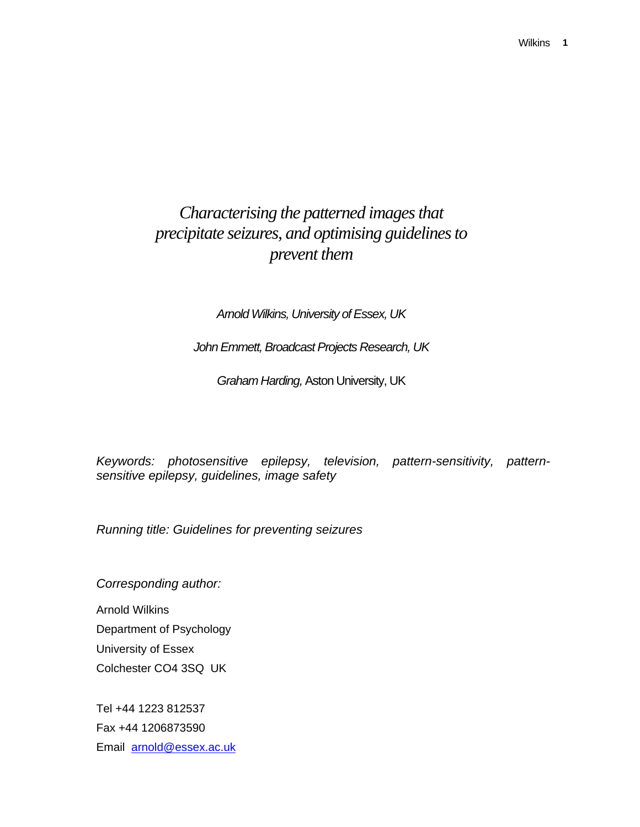# *Characterising the patterned images that precipitate seizures, and optimising guidelines to prevent them*

# *Arnold Wilkins, University of Essex, UK*

*John Emmett, Broadcast Projects Research, UK* 

*Graham Harding,* Aston University, UK

*Keywords: photosensitive epilepsy, television, pattern-sensitivity, patternsensitive epilepsy, guidelines, image safety* 

*Running title: Guidelines for preventing seizures* 

*Corresponding author:* 

Arnold Wilkins Department of Psychology University of Essex Colchester CO4 3SQ UK

Tel +44 1223 812537 Fax +44 1206873590 Email arnold@essex.ac.uk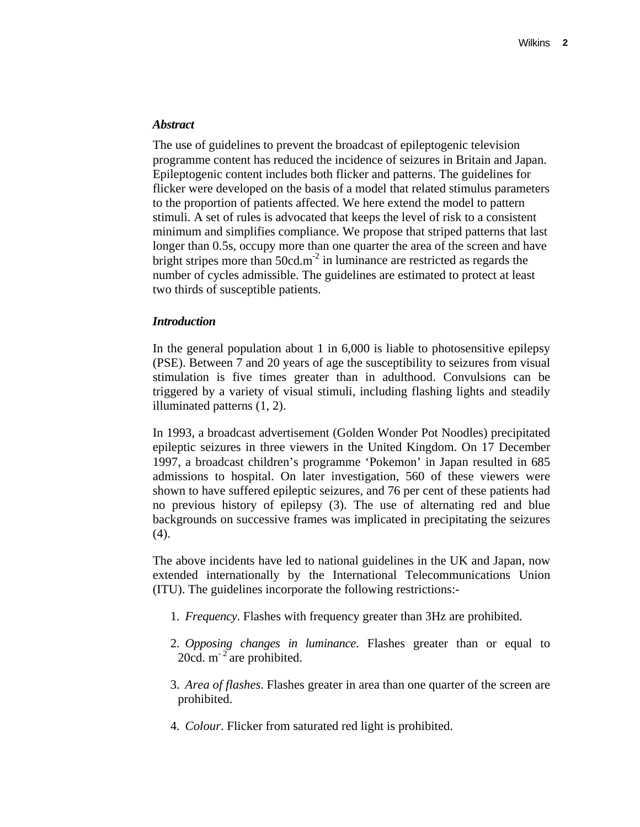#### *Abstract*

The use of guidelines to prevent the broadcast of epileptogenic television programme content has reduced the incidence of seizures in Britain and Japan. Epileptogenic content includes both flicker and patterns. The guidelines for flicker were developed on the basis of a model that related stimulus parameters to the proportion of patients affected. We here extend the model to pattern stimuli. A set of rules is advocated that keeps the level of risk to a consistent minimum and simplifies compliance. We propose that striped patterns that last longer than 0.5s, occupy more than one quarter the area of the screen and have bright stripes more than  $50 \text{cd} \cdot \text{m}^{-2}$  in luminance are restricted as regards the number of cycles admissible. The guidelines are estimated to protect at least two thirds of susceptible patients.

#### *Introduction*

In the general population about 1 in 6,000 is liable to photosensitive epilepsy (PSE). Between 7 and 20 years of age the susceptibility to seizures from visual stimulation is five times greater than in adulthood. Convulsions can be triggered by a variety of visual stimuli, including flashing lights and steadily illuminated patterns (1, 2).

In 1993, a broadcast advertisement (Golden Wonder Pot Noodles) precipitated epileptic seizures in three viewers in the United Kingdom. On 17 December 1997, a broadcast children's programme 'Pokemon' in Japan resulted in 685 admissions to hospital. On later investigation, 560 of these viewers were shown to have suffered epileptic seizures, and 76 per cent of these patients had no previous history of epilepsy (3). The use of alternating red and blue backgrounds on successive frames was implicated in precipitating the seizures (4).

The above incidents have led to national guidelines in the UK and Japan, now extended internationally by the International Telecommunications Union (ITU). The guidelines incorporate the following restrictions:-

- 1. *Frequency*. Flashes with frequency greater than 3Hz are prohibited.
- 2. *Opposing changes in luminance*. Flashes greater than or equal to 20cd.  $m^{-2}$  are prohibited.
- 3. *Area of flashes*. Flashes greater in area than one quarter of the screen are prohibited.
- 4. *Colour*. Flicker from saturated red light is prohibited.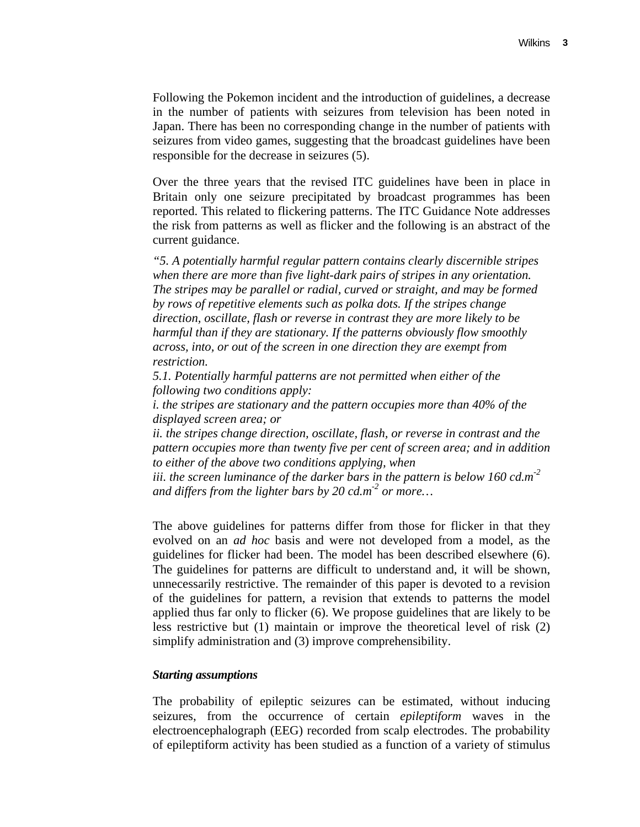Following the Pokemon incident and the introduction of guidelines, a decrease in the number of patients with seizures from television has been noted in Japan. There has been no corresponding change in the number of patients with seizures from video games, suggesting that the broadcast guidelines have been responsible for the decrease in seizures (5).

Over the three years that the revised ITC guidelines have been in place in Britain only one seizure precipitated by broadcast programmes has been reported. This related to flickering patterns. The ITC Guidance Note addresses the risk from patterns as well as flicker and the following is an abstract of the current guidance.

*"5. A potentially harmful regular pattern contains clearly discernible stripes when there are more than five light-dark pairs of stripes in any orientation. The stripes may be parallel or radial, curved or straight, and may be formed by rows of repetitive elements such as polka dots. If the stripes change direction, oscillate, flash or reverse in contrast they are more likely to be harmful than if they are stationary. If the patterns obviously flow smoothly across, into, or out of the screen in one direction they are exempt from restriction.* 

*5.1. Potentially harmful patterns are not permitted when either of the following two conditions apply:* 

*i. the stripes are stationary and the pattern occupies more than 40% of the displayed screen area; or* 

*ii. the stripes change direction, oscillate, flash, or reverse in contrast and the pattern occupies more than twenty five per cent of screen area; and in addition to either of the above two conditions applying, when* 

*iii. the screen luminance of the darker bars in the pattern is below 160 cd.m-2 and differs from the lighter bars by 20 cd.m-2 or more…* 

The above guidelines for patterns differ from those for flicker in that they evolved on an *ad hoc* basis and were not developed from a model, as the guidelines for flicker had been. The model has been described elsewhere (6). The guidelines for patterns are difficult to understand and, it will be shown, unnecessarily restrictive. The remainder of this paper is devoted to a revision of the guidelines for pattern, a revision that extends to patterns the model applied thus far only to flicker (6). We propose guidelines that are likely to be less restrictive but (1) maintain or improve the theoretical level of risk (2) simplify administration and (3) improve comprehensibility.

#### *Starting assumptions*

The probability of epileptic seizures can be estimated, without inducing seizures, from the occurrence of certain *epileptiform* waves in the electroencephalograph (EEG) recorded from scalp electrodes. The probability of epileptiform activity has been studied as a function of a variety of stimulus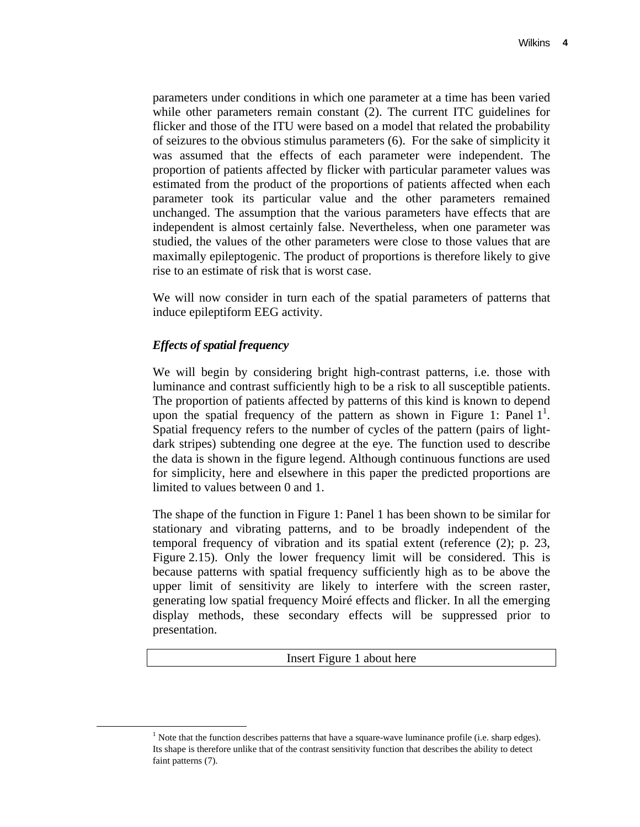parameters under conditions in which one parameter at a time has been varied while other parameters remain constant (2). The current ITC guidelines for flicker and those of the ITU were based on a model that related the probability of seizures to the obvious stimulus parameters (6). For the sake of simplicity it was assumed that the effects of each parameter were independent. The proportion of patients affected by flicker with particular parameter values was estimated from the product of the proportions of patients affected when each parameter took its particular value and the other parameters remained unchanged. The assumption that the various parameters have effects that are independent is almost certainly false. Nevertheless, when one parameter was studied, the values of the other parameters were close to those values that are maximally epileptogenic. The product of proportions is therefore likely to give rise to an estimate of risk that is worst case.

We will now consider in turn each of the spatial parameters of patterns that induce epileptiform EEG activity.

# *Effects of spatial frequency*

We will begin by considering bright high-contrast patterns, i.e. those with luminance and contrast sufficiently high to be a risk to all susceptible patients. The proportion of patients affected by patterns of this kind is known to depend upon the spatial frequency of the pattern as shown in Figure 1: Panel  $1^1$ . Spatial frequency refers to the number of cycles of the pattern (pairs of lightdark stripes) subtending one degree at the eye. The function used to describe the data is shown in the figure legend. Although continuous functions are used for simplicity, here and elsewhere in this paper the predicted proportions are limited to values between 0 and 1.

The shape of the function in Figure 1: Panel 1 has been shown to be similar for stationary and vibrating patterns, and to be broadly independent of the temporal frequency of vibration and its spatial extent (reference (2); p. 23, Figure 2.15). Only the lower frequency limit will be considered. This is because patterns with spatial frequency sufficiently high as to be above the upper limit of sensitivity are likely to interfere with the screen raster, generating low spatial frequency Moiré effects and flicker. In all the emerging display methods, these secondary effects will be suppressed prior to presentation.

## Insert Figure 1 about here

<sup>&</sup>lt;u>1</u>  $<sup>1</sup>$  Note that the function describes patterns that have a square-wave luminance profile (i.e. sharp edges).</sup> Its shape is therefore unlike that of the contrast sensitivity function that describes the ability to detect faint patterns (7).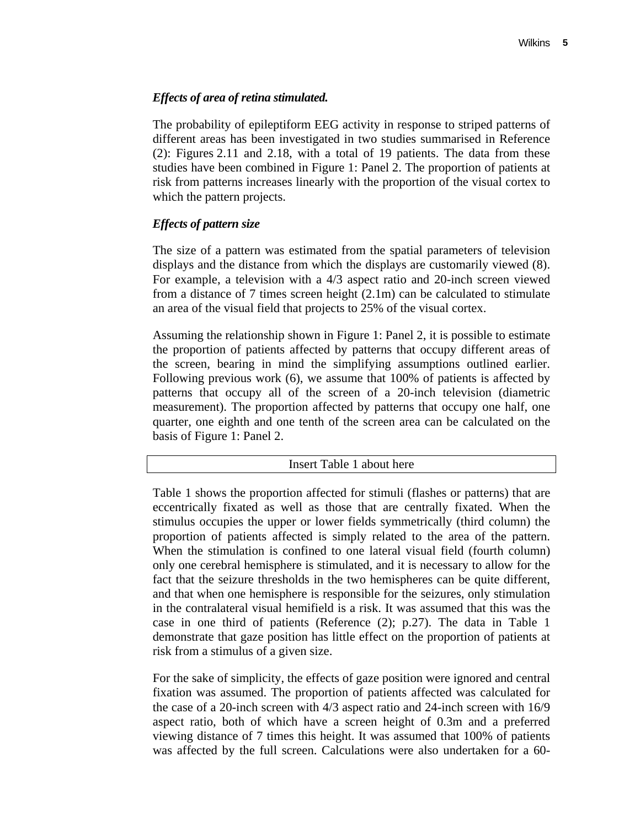# *Effects of area of retina stimulated.*

The probability of epileptiform EEG activity in response to striped patterns of different areas has been investigated in two studies summarised in Reference (2): Figures 2.11 and 2.18, with a total of 19 patients. The data from these studies have been combined in Figure 1: Panel 2. The proportion of patients at risk from patterns increases linearly with the proportion of the visual cortex to which the pattern projects.

# *Effects of pattern size*

The size of a pattern was estimated from the spatial parameters of television displays and the distance from which the displays are customarily viewed (8). For example, a television with a 4/3 aspect ratio and 20-inch screen viewed from a distance of 7 times screen height (2.1m) can be calculated to stimulate an area of the visual field that projects to 25% of the visual cortex.

Assuming the relationship shown in Figure 1: Panel 2, it is possible to estimate the proportion of patients affected by patterns that occupy different areas of the screen, bearing in mind the simplifying assumptions outlined earlier. Following previous work (6), we assume that 100% of patients is affected by patterns that occupy all of the screen of a 20-inch television (diametric measurement). The proportion affected by patterns that occupy one half, one quarter, one eighth and one tenth of the screen area can be calculated on the basis of Figure 1: Panel 2.

|  | Insert Table 1 about here |  |
|--|---------------------------|--|
|--|---------------------------|--|

Table 1 shows the proportion affected for stimuli (flashes or patterns) that are eccentrically fixated as well as those that are centrally fixated. When the stimulus occupies the upper or lower fields symmetrically (third column) the proportion of patients affected is simply related to the area of the pattern. When the stimulation is confined to one lateral visual field (fourth column) only one cerebral hemisphere is stimulated, and it is necessary to allow for the fact that the seizure thresholds in the two hemispheres can be quite different, and that when one hemisphere is responsible for the seizures, only stimulation in the contralateral visual hemifield is a risk. It was assumed that this was the case in one third of patients (Reference (2); p.27). The data in Table 1 demonstrate that gaze position has little effect on the proportion of patients at risk from a stimulus of a given size.

For the sake of simplicity, the effects of gaze position were ignored and central fixation was assumed. The proportion of patients affected was calculated for the case of a 20-inch screen with 4/3 aspect ratio and 24-inch screen with 16/9 aspect ratio, both of which have a screen height of 0.3m and a preferred viewing distance of 7 times this height. It was assumed that 100% of patients was affected by the full screen. Calculations were also undertaken for a 60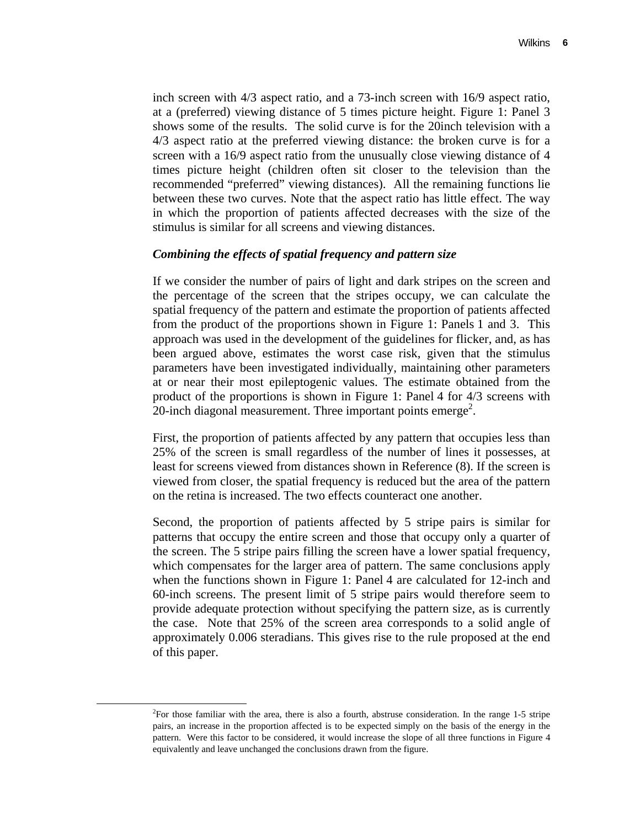inch screen with 4/3 aspect ratio, and a 73-inch screen with 16/9 aspect ratio, at a (preferred) viewing distance of 5 times picture height. Figure 1: Panel 3 shows some of the results. The solid curve is for the 20inch television with a 4/3 aspect ratio at the preferred viewing distance: the broken curve is for a screen with a 16/9 aspect ratio from the unusually close viewing distance of 4 times picture height (children often sit closer to the television than the recommended "preferred" viewing distances). All the remaining functions lie between these two curves. Note that the aspect ratio has little effect. The way in which the proportion of patients affected decreases with the size of the stimulus is similar for all screens and viewing distances.

## *Combining the effects of spatial frequency and pattern size*

If we consider the number of pairs of light and dark stripes on the screen and the percentage of the screen that the stripes occupy, we can calculate the spatial frequency of the pattern and estimate the proportion of patients affected from the product of the proportions shown in Figure 1: Panels 1 and 3. This approach was used in the development of the guidelines for flicker, and, as has been argued above, estimates the worst case risk, given that the stimulus parameters have been investigated individually, maintaining other parameters at or near their most epileptogenic values. The estimate obtained from the product of the proportions is shown in Figure 1: Panel 4 for 4/3 screens with 20-inch diagonal measurement. Three important points emerge<sup>2</sup>.

First, the proportion of patients affected by any pattern that occupies less than 25% of the screen is small regardless of the number of lines it possesses, at least for screens viewed from distances shown in Reference (8). If the screen is viewed from closer, the spatial frequency is reduced but the area of the pattern on the retina is increased. The two effects counteract one another.

Second, the proportion of patients affected by 5 stripe pairs is similar for patterns that occupy the entire screen and those that occupy only a quarter of the screen. The 5 stripe pairs filling the screen have a lower spatial frequency, which compensates for the larger area of pattern. The same conclusions apply when the functions shown in Figure 1: Panel 4 are calculated for 12-inch and 60-inch screens. The present limit of 5 stripe pairs would therefore seem to provide adequate protection without specifying the pattern size, as is currently the case. Note that 25% of the screen area corresponds to a solid angle of approximately 0.006 steradians. This gives rise to the rule proposed at the end of this paper.

 $\overline{\qquad \qquad }$ <sup>2</sup>For those familiar with the area, there is also a fourth, abstruse consideration. In the range 1-5 stripe pairs, an increase in the proportion affected is to be expected simply on the basis of the energy in the pattern. Were this factor to be considered, it would increase the slope of all three functions in Figure 4 equivalently and leave unchanged the conclusions drawn from the figure.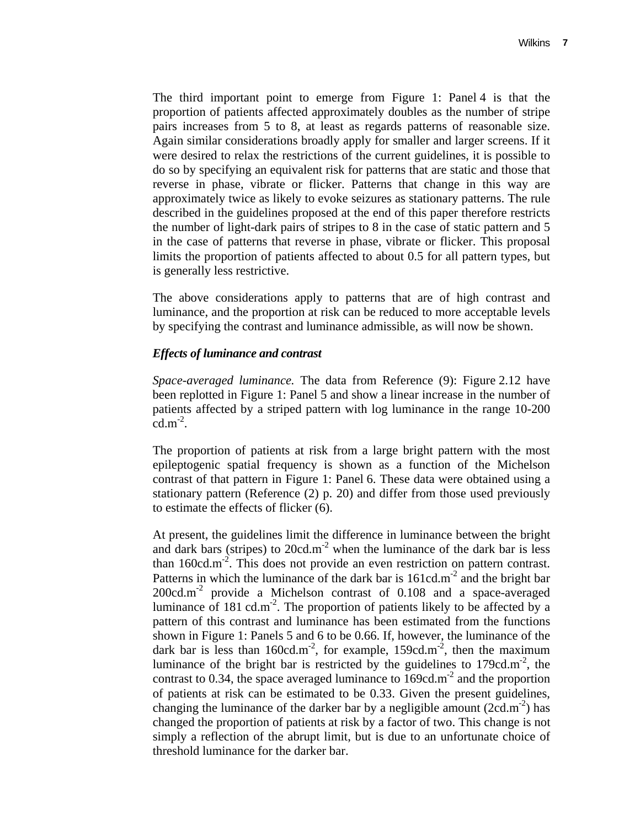The third important point to emerge from Figure 1: Panel 4 is that the proportion of patients affected approximately doubles as the number of stripe pairs increases from 5 to 8, at least as regards patterns of reasonable size. Again similar considerations broadly apply for smaller and larger screens. If it were desired to relax the restrictions of the current guidelines, it is possible to do so by specifying an equivalent risk for patterns that are static and those that reverse in phase, vibrate or flicker. Patterns that change in this way are approximately twice as likely to evoke seizures as stationary patterns. The rule described in the guidelines proposed at the end of this paper therefore restricts the number of light-dark pairs of stripes to 8 in the case of static pattern and 5 in the case of patterns that reverse in phase, vibrate or flicker. This proposal limits the proportion of patients affected to about 0.5 for all pattern types, but is generally less restrictive.

The above considerations apply to patterns that are of high contrast and luminance, and the proportion at risk can be reduced to more acceptable levels by specifying the contrast and luminance admissible, as will now be shown.

## *Effects of luminance and contrast*

*Space-averaged luminance.* The data from Reference (9): Figure 2.12 have been replotted in Figure 1: Panel 5 and show a linear increase in the number of patients affected by a striped pattern with log luminance in the range 10-200  $cd.m^{-2}$ .

The proportion of patients at risk from a large bright pattern with the most epileptogenic spatial frequency is shown as a function of the Michelson contrast of that pattern in Figure 1: Panel 6. These data were obtained using a stationary pattern (Reference (2) p. 20) and differ from those used previously to estimate the effects of flicker (6).

At present, the guidelines limit the difference in luminance between the bright and dark bars (stripes) to  $20cd.m<sup>-2</sup>$  when the luminance of the dark bar is less than  $160 \text{cd.m}^2$ . This does not provide an even restriction on pattern contrast. Patterns in which the luminance of the dark bar is  $161cd.m<sup>-2</sup>$  and the bright bar  $200 \text{cd} \cdot \text{m}^{-2}$  provide a Michelson contrast of 0.108 and a space-averaged luminance of 181 cd.m<sup>-2</sup>. The proportion of patients likely to be affected by a pattern of this contrast and luminance has been estimated from the functions shown in Figure 1: Panels 5 and 6 to be 0.66. If, however, the luminance of the dark bar is less than  $160 \text{cd.m}^2$ , for example,  $159 \text{cd.m}^2$ , then the maximum luminance of the bright bar is restricted by the guidelines to  $179cd.m<sup>-2</sup>$ , the contrast to 0.34, the space averaged luminance to  $169cd.m<sup>-2</sup>$  and the proportion of patients at risk can be estimated to be 0.33. Given the present guidelines, changing the luminance of the darker bar by a negligible amount  $(2cd.m^{-2})$  has changed the proportion of patients at risk by a factor of two. This change is not simply a reflection of the abrupt limit, but is due to an unfortunate choice of threshold luminance for the darker bar.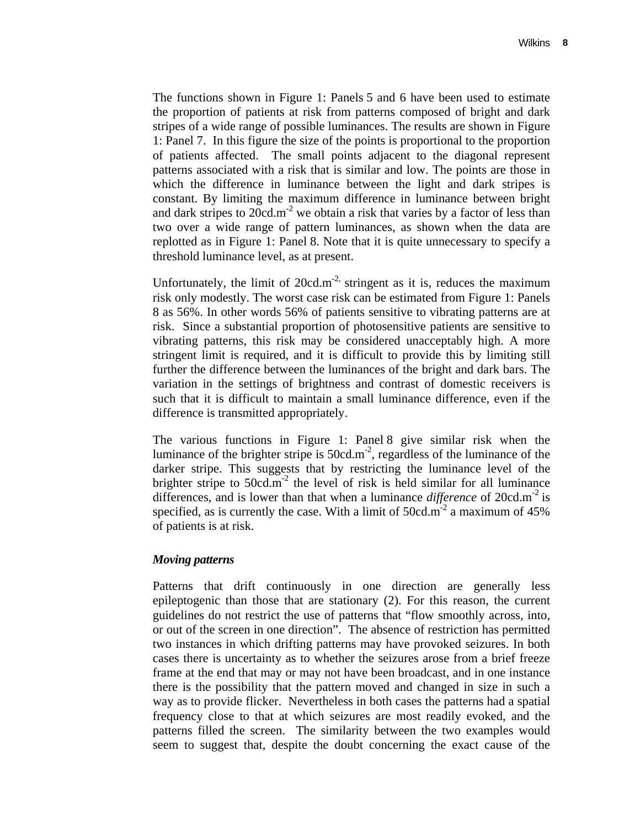The functions shown in Figure 1: Panels 5 and 6 have been used to estimate the proportion of patients at risk from patterns composed of bright and dark stripes of a wide range of possible luminances. The results are shown in Figure 1: Panel 7. In this figure the size of the points is proportional to the proportion of patients affected. The small points adjacent to the diagonal represent patterns associated with a risk that is similar and low. The points are those in which the difference in luminance between the light and dark stripes is constant. By limiting the maximum difference in luminance between bright and dark stripes to  $20cd.m<sup>-2</sup>$  we obtain a risk that varies by a factor of less than two over a wide range of pattern luminances, as shown when the data are replotted as in Figure 1: Panel 8. Note that it is quite unnecessary to specify a threshold luminance level, as at present.

Unfortunately, the limit of  $20cd.m<sup>-2</sup>$ , stringent as it is, reduces the maximum risk only modestly. The worst case risk can be estimated from Figure 1: Panels 8 as 56%. In other words 56% of patients sensitive to vibrating patterns are at risk. Since a substantial proportion of photosensitive patients are sensitive to vibrating patterns, this risk may be considered unacceptably high. A more stringent limit is required, and it is difficult to provide this by limiting still further the difference between the luminances of the bright and dark bars. The variation in the settings of brightness and contrast of domestic receivers is such that it is difficult to maintain a small luminance difference, even if the difference is transmitted appropriately.

The various functions in Figure 1: Panel 8 give similar risk when the luminance of the brighter stripe is  $50 \text{cd.m}^2$ , regardless of the luminance of the darker stripe. This suggests that by restricting the luminance level of the brighter stripe to  $50cd.m^{-2}$  the level of risk is held similar for all luminance differences, and is lower than that when a luminance *difference* of 20cd.m<sup>-2</sup> is specified, as is currently the case. With a limit of  $50cd.m<sup>-2</sup>$  a maximum of  $45\%$ of patients is at risk.

## *Moving patterns*

Patterns that drift continuously in one direction are generally less epileptogenic than those that are stationary (2). For this reason, the current guidelines do not restrict the use of patterns that "flow smoothly across, into, or out of the screen in one direction". The absence of restriction has permitted two instances in which drifting patterns may have provoked seizures. In both cases there is uncertainty as to whether the seizures arose from a brief freeze frame at the end that may or may not have been broadcast, and in one instance there is the possibility that the pattern moved and changed in size in such a way as to provide flicker. Nevertheless in both cases the patterns had a spatial frequency close to that at which seizures are most readily evoked, and the patterns filled the screen. The similarity between the two examples would seem to suggest that, despite the doubt concerning the exact cause of the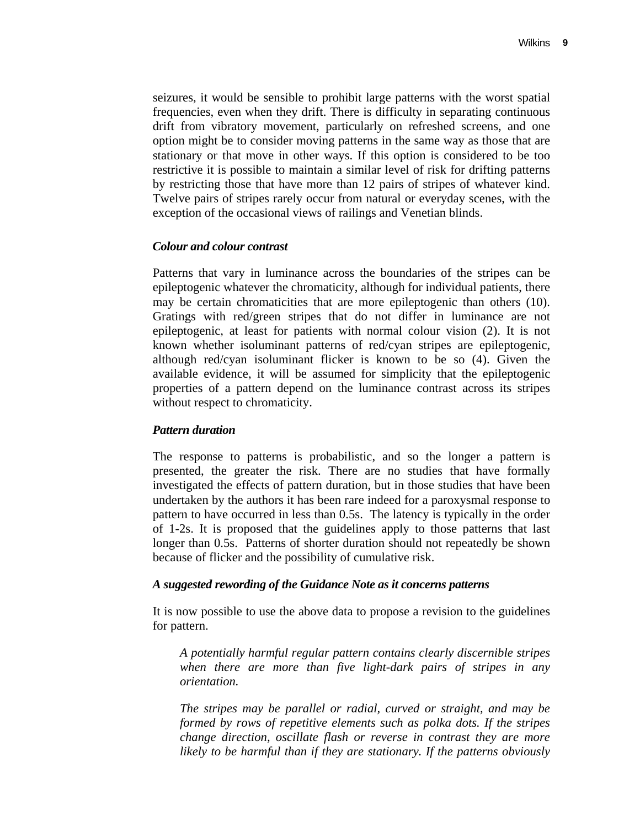seizures, it would be sensible to prohibit large patterns with the worst spatial frequencies, even when they drift. There is difficulty in separating continuous drift from vibratory movement, particularly on refreshed screens, and one option might be to consider moving patterns in the same way as those that are stationary or that move in other ways. If this option is considered to be too restrictive it is possible to maintain a similar level of risk for drifting patterns by restricting those that have more than 12 pairs of stripes of whatever kind. Twelve pairs of stripes rarely occur from natural or everyday scenes, with the exception of the occasional views of railings and Venetian blinds.

#### *Colour and colour contrast*

Patterns that vary in luminance across the boundaries of the stripes can be epileptogenic whatever the chromaticity, although for individual patients, there may be certain chromaticities that are more epileptogenic than others (10). Gratings with red/green stripes that do not differ in luminance are not epileptogenic, at least for patients with normal colour vision (2). It is not known whether isoluminant patterns of red/cyan stripes are epileptogenic, although red/cyan isoluminant flicker is known to be so (4). Given the available evidence, it will be assumed for simplicity that the epileptogenic properties of a pattern depend on the luminance contrast across its stripes without respect to chromaticity.

## *Pattern duration*

The response to patterns is probabilistic, and so the longer a pattern is presented, the greater the risk. There are no studies that have formally investigated the effects of pattern duration, but in those studies that have been undertaken by the authors it has been rare indeed for a paroxysmal response to pattern to have occurred in less than 0.5s. The latency is typically in the order of 1-2s. It is proposed that the guidelines apply to those patterns that last longer than 0.5s. Patterns of shorter duration should not repeatedly be shown because of flicker and the possibility of cumulative risk.

#### *A suggested rewording of the Guidance Note as it concerns patterns*

It is now possible to use the above data to propose a revision to the guidelines for pattern.

*A potentially harmful regular pattern contains clearly discernible stripes when there are more than five light-dark pairs of stripes in any orientation.* 

*The stripes may be parallel or radial, curved or straight, and may be formed by rows of repetitive elements such as polka dots. If the stripes change direction, oscillate flash or reverse in contrast they are more likely to be harmful than if they are stationary. If the patterns obviously*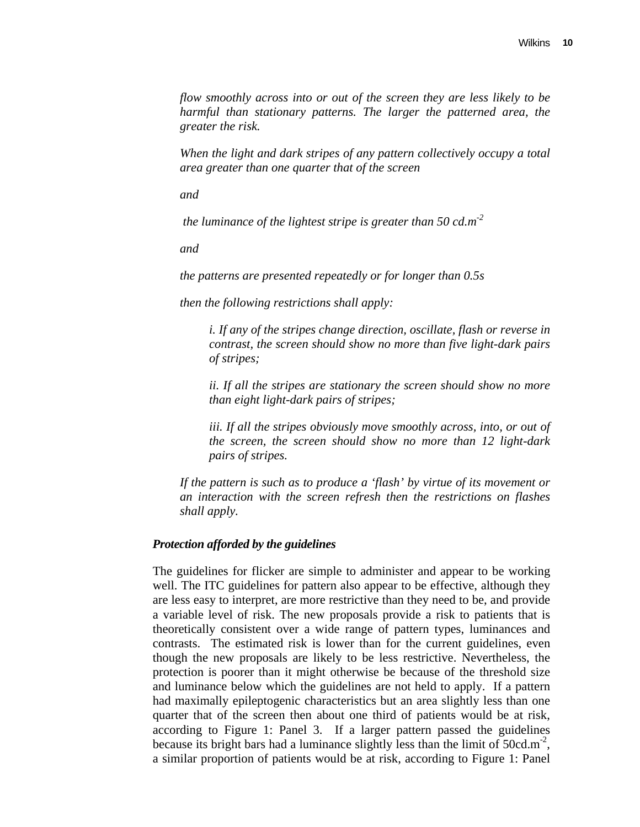*flow smoothly across into or out of the screen they are less likely to be harmful than stationary patterns. The larger the patterned area, the greater the risk.* 

*When the light and dark stripes of any pattern collectively occupy a total area greater than one quarter that of the screen* 

*and* 

 *the luminance of the lightest stripe is greater than 50 cd.m-2*

*and* 

*the patterns are presented repeatedly or for longer than 0.5s* 

*then the following restrictions shall apply:* 

*i. If any of the stripes change direction, oscillate, flash or reverse in contrast, the screen should show no more than five light-dark pairs of stripes;* 

*ii. If all the stripes are stationary the screen should show no more than eight light-dark pairs of stripes;* 

*iii. If all the stripes obviously move smoothly across, into, or out of the screen, the screen should show no more than 12 light-dark pairs of stripes.* 

*If the pattern is such as to produce a 'flash' by virtue of its movement or an interaction with the screen refresh then the restrictions on flashes shall apply.*

#### *Protection afforded by the guidelines*

The guidelines for flicker are simple to administer and appear to be working well. The ITC guidelines for pattern also appear to be effective, although they are less easy to interpret, are more restrictive than they need to be, and provide a variable level of risk. The new proposals provide a risk to patients that is theoretically consistent over a wide range of pattern types, luminances and contrasts. The estimated risk is lower than for the current guidelines, even though the new proposals are likely to be less restrictive. Nevertheless, the protection is poorer than it might otherwise be because of the threshold size and luminance below which the guidelines are not held to apply. If a pattern had maximally epileptogenic characteristics but an area slightly less than one quarter that of the screen then about one third of patients would be at risk, according to Figure 1: Panel 3. If a larger pattern passed the guidelines because its bright bars had a luminance slightly less than the limit of  $50cd.m^{-2}$ , a similar proportion of patients would be at risk, according to Figure 1: Panel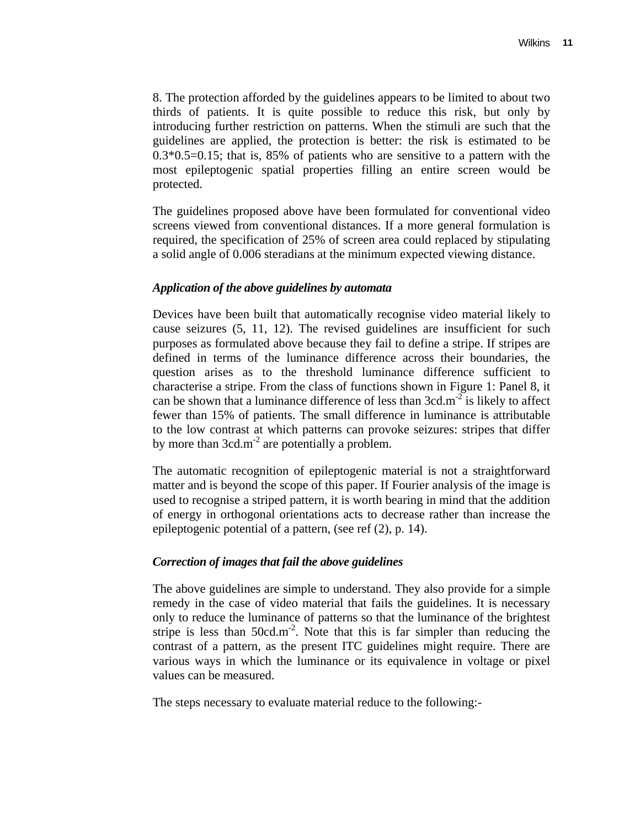8. The protection afforded by the guidelines appears to be limited to about two thirds of patients. It is quite possible to reduce this risk, but only by introducing further restriction on patterns. When the stimuli are such that the guidelines are applied, the protection is better: the risk is estimated to be  $0.3*0.5=0.15$ ; that is, 85% of patients who are sensitive to a pattern with the most epileptogenic spatial properties filling an entire screen would be protected.

The guidelines proposed above have been formulated for conventional video screens viewed from conventional distances. If a more general formulation is required, the specification of 25% of screen area could replaced by stipulating a solid angle of 0.006 steradians at the minimum expected viewing distance.

## *Application of the above guidelines by automata*

Devices have been built that automatically recognise video material likely to cause seizures (5, 11, 12). The revised guidelines are insufficient for such purposes as formulated above because they fail to define a stripe. If stripes are defined in terms of the luminance difference across their boundaries, the question arises as to the threshold luminance difference sufficient to characterise a stripe. From the class of functions shown in Figure 1: Panel 8, it can be shown that a luminance difference of less than  $3cd.m<sup>-2</sup>$  is likely to affect fewer than 15% of patients. The small difference in luminance is attributable to the low contrast at which patterns can provoke seizures: stripes that differ by more than  $3cd.m^{-2}$  are potentially a problem.

The automatic recognition of epileptogenic material is not a straightforward matter and is beyond the scope of this paper. If Fourier analysis of the image is used to recognise a striped pattern, it is worth bearing in mind that the addition of energy in orthogonal orientations acts to decrease rather than increase the epileptogenic potential of a pattern, (see ref (2), p. 14).

## *Correction of images that fail the above guidelines*

The above guidelines are simple to understand. They also provide for a simple remedy in the case of video material that fails the guidelines. It is necessary only to reduce the luminance of patterns so that the luminance of the brightest stripe is less than  $50 \text{cd.m}^2$ . Note that this is far simpler than reducing the contrast of a pattern, as the present ITC guidelines might require. There are various ways in which the luminance or its equivalence in voltage or pixel values can be measured.

The steps necessary to evaluate material reduce to the following:-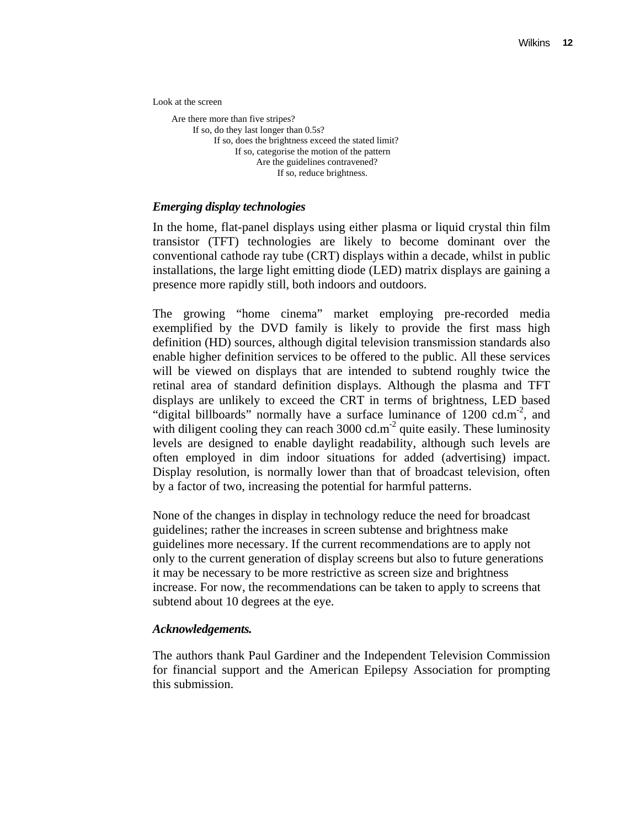Look at the screen

 Are there more than five stripes? If so, do they last longer than 0.5s? If so, does the brightness exceed the stated limit? If so, categorise the motion of the pattern Are the guidelines contravened? If so, reduce brightness.

#### *Emerging display technologies*

In the home, flat-panel displays using either plasma or liquid crystal thin film transistor (TFT) technologies are likely to become dominant over the conventional cathode ray tube (CRT) displays within a decade, whilst in public installations, the large light emitting diode (LED) matrix displays are gaining a presence more rapidly still, both indoors and outdoors.

The growing "home cinema" market employing pre-recorded media exemplified by the DVD family is likely to provide the first mass high definition (HD) sources, although digital television transmission standards also enable higher definition services to be offered to the public. All these services will be viewed on displays that are intended to subtend roughly twice the retinal area of standard definition displays. Although the plasma and TFT displays are unlikely to exceed the CRT in terms of brightness, LED based "digital billboards" normally have a surface luminance of  $1200 \text{ cdm}^2$ , and with diligent cooling they can reach  $3000 \text{ cd.m}^2$  quite easily. These luminosity levels are designed to enable daylight readability, although such levels are often employed in dim indoor situations for added (advertising) impact. Display resolution, is normally lower than that of broadcast television, often by a factor of two, increasing the potential for harmful patterns.

None of the changes in display in technology reduce the need for broadcast guidelines; rather the increases in screen subtense and brightness make guidelines more necessary. If the current recommendations are to apply not only to the current generation of display screens but also to future generations it may be necessary to be more restrictive as screen size and brightness increase. For now, the recommendations can be taken to apply to screens that subtend about 10 degrees at the eye.

#### *Acknowledgements.*

The authors thank Paul Gardiner and the Independent Television Commission for financial support and the American Epilepsy Association for prompting this submission.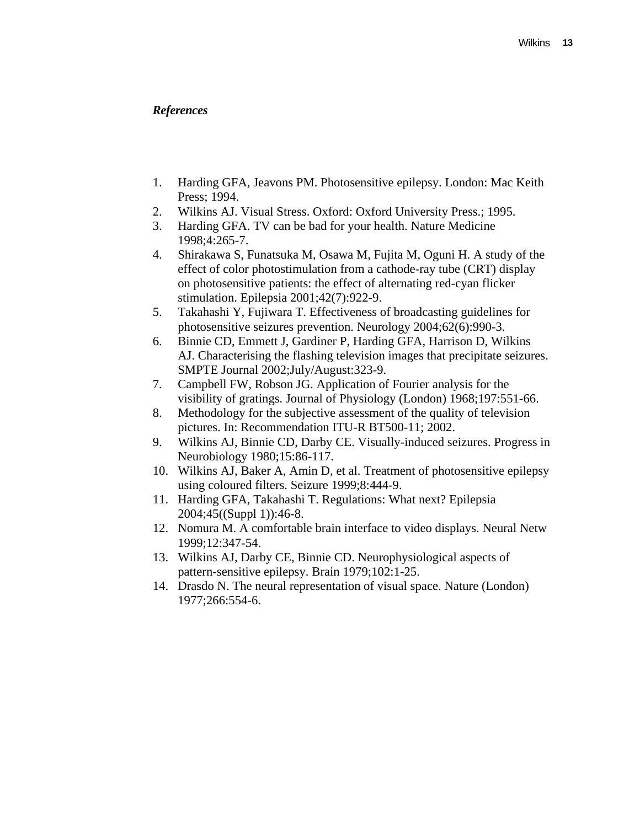## *References*

- 1. Harding GFA, Jeavons PM. Photosensitive epilepsy. London: Mac Keith Press; 1994.
- 2. Wilkins AJ. Visual Stress. Oxford: Oxford University Press.; 1995.
- 3. Harding GFA. TV can be bad for your health. Nature Medicine 1998;4:265-7.
- 4. Shirakawa S, Funatsuka M, Osawa M, Fujita M, Oguni H. A study of the effect of color photostimulation from a cathode-ray tube (CRT) display on photosensitive patients: the effect of alternating red-cyan flicker stimulation. Epilepsia 2001;42(7):922-9.
- 5. Takahashi Y, Fujiwara T. Effectiveness of broadcasting guidelines for photosensitive seizures prevention. Neurology 2004;62(6):990-3.
- 6. Binnie CD, Emmett J, Gardiner P, Harding GFA, Harrison D, Wilkins AJ. Characterising the flashing television images that precipitate seizures. SMPTE Journal 2002;July/August:323-9.
- 7. Campbell FW, Robson JG. Application of Fourier analysis for the visibility of gratings. Journal of Physiology (London) 1968;197:551-66.
- 8. Methodology for the subjective assessment of the quality of television pictures. In: Recommendation ITU-R BT500-11; 2002.
- 9. Wilkins AJ, Binnie CD, Darby CE. Visually-induced seizures. Progress in Neurobiology 1980;15:86-117.
- 10. Wilkins AJ, Baker A, Amin D, et al. Treatment of photosensitive epilepsy using coloured filters. Seizure 1999;8:444-9.
- 11. Harding GFA, Takahashi T. Regulations: What next? Epilepsia 2004;45((Suppl 1)):46-8.
- 12. Nomura M. A comfortable brain interface to video displays. Neural Netw 1999;12:347-54.
- 13. Wilkins AJ, Darby CE, Binnie CD. Neurophysiological aspects of pattern-sensitive epilepsy. Brain 1979;102:1-25.
- 14. Drasdo N. The neural representation of visual space. Nature (London) 1977;266:554-6.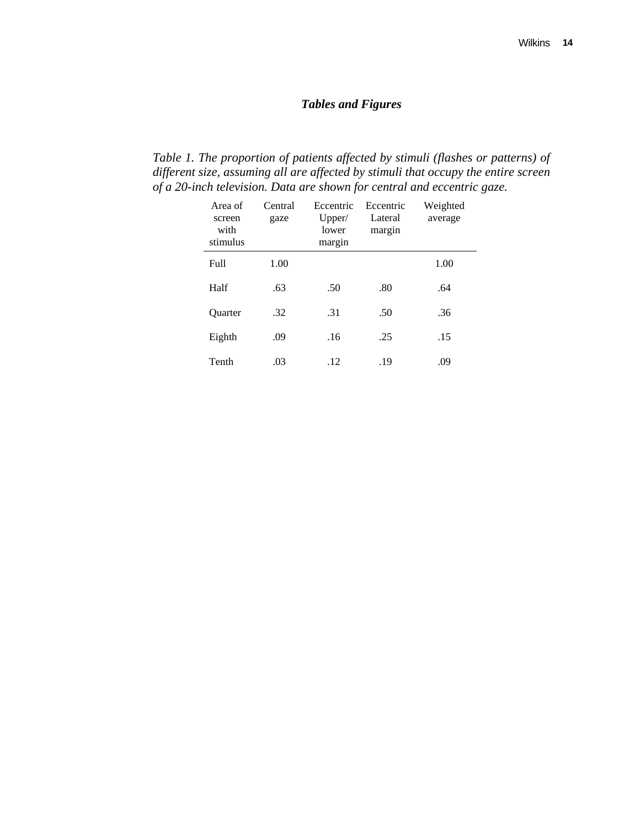# *Tables and Figures*

*Table 1. The proportion of patients affected by stimuli (flashes or patterns) of different size, assuming all are affected by stimuli that occupy the entire screen of a 20-inch television. Data are shown for central and eccentric gaze.* 

| Area of<br>screen<br>with<br>stimulus | Central<br>gaze | Eccentric<br>Upper/<br>lower<br>margin | Eccentric<br>Lateral<br>margin | Weighted<br>average |
|---------------------------------------|-----------------|----------------------------------------|--------------------------------|---------------------|
| Full                                  | 1.00            |                                        |                                | 1.00                |
| Half                                  | .63             | .50                                    | .80                            | .64                 |
| <b>Ouarter</b>                        | .32             | .31                                    | .50                            | .36                 |
| Eighth                                | .09             | .16                                    | .25                            | .15                 |
| Tenth                                 | .03             | .12                                    | .19                            | .09                 |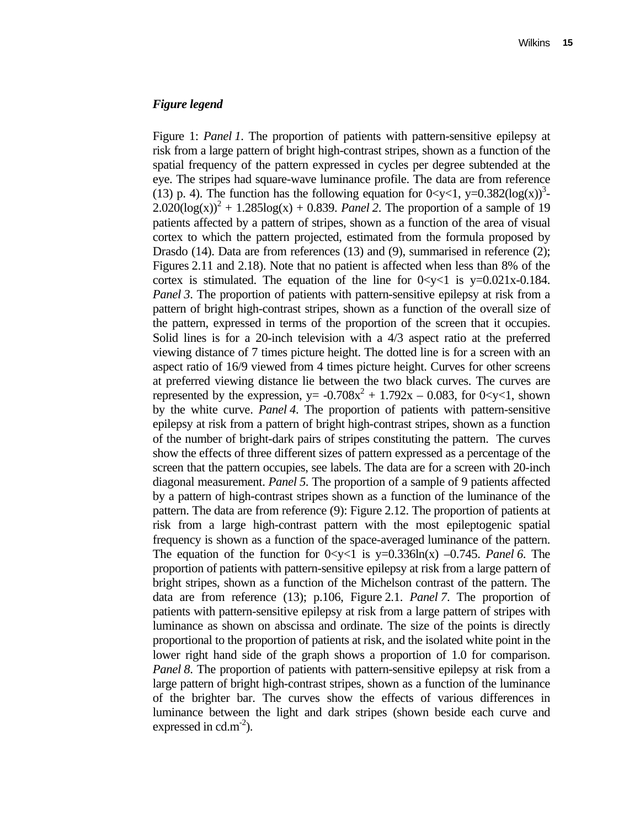#### *Figure legend*

Figure 1: *Panel 1*. The proportion of patients with pattern-sensitive epilepsy at risk from a large pattern of bright high-contrast stripes, shown as a function of the spatial frequency of the pattern expressed in cycles per degree subtended at the eye. The stripes had square-wave luminance profile. The data are from reference (13) p. 4). The function has the following equation for  $0 < y < 1$ ,  $y = 0.382(\log(x))^{3}$ - $2.020(\log(x))^{2} + 1.285\log(x) + 0.839$ . *Panel* 2. The proportion of a sample of 19 patients affected by a pattern of stripes, shown as a function of the area of visual cortex to which the pattern projected, estimated from the formula proposed by Drasdo (14). Data are from references (13) and (9), summarised in reference (2); Figures 2.11 and 2.18). Note that no patient is affected when less than 8% of the cortex is stimulated. The equation of the line for  $0 < y < 1$  is  $y = 0.021x - 0.184$ . *Panel 3*. The proportion of patients with pattern-sensitive epilepsy at risk from a pattern of bright high-contrast stripes, shown as a function of the overall size of the pattern, expressed in terms of the proportion of the screen that it occupies. Solid lines is for a 20-inch television with a 4/3 aspect ratio at the preferred viewing distance of 7 times picture height. The dotted line is for a screen with an aspect ratio of 16/9 viewed from 4 times picture height. Curves for other screens at preferred viewing distance lie between the two black curves. The curves are represented by the expression,  $y = -0.708x^2 + 1.792x - 0.083$ , for 0<y<1, shown by the white curve. *Panel 4*. The proportion of patients with pattern-sensitive epilepsy at risk from a pattern of bright high-contrast stripes, shown as a function of the number of bright-dark pairs of stripes constituting the pattern. The curves show the effects of three different sizes of pattern expressed as a percentage of the screen that the pattern occupies, see labels. The data are for a screen with 20-inch diagonal measurement. *Panel 5*. The proportion of a sample of 9 patients affected by a pattern of high-contrast stripes shown as a function of the luminance of the pattern. The data are from reference (9): Figure 2.12. The proportion of patients at risk from a large high-contrast pattern with the most epileptogenic spatial frequency is shown as a function of the space-averaged luminance of the pattern. The equation of the function for  $0 < y < 1$  is  $y=0.336\ln(x) -0.745$ . *Panel 6*. The proportion of patients with pattern-sensitive epilepsy at risk from a large pattern of bright stripes, shown as a function of the Michelson contrast of the pattern. The data are from reference (13); p.106, Figure 2.1. *Panel 7*. The proportion of patients with pattern-sensitive epilepsy at risk from a large pattern of stripes with luminance as shown on abscissa and ordinate. The size of the points is directly proportional to the proportion of patients at risk, and the isolated white point in the lower right hand side of the graph shows a proportion of 1.0 for comparison. *Panel 8*. The proportion of patients with pattern-sensitive epilepsy at risk from a large pattern of bright high-contrast stripes, shown as a function of the luminance of the brighter bar. The curves show the effects of various differences in luminance between the light and dark stripes (shown beside each curve and expressed in  $cd.m^{-2}$ ).